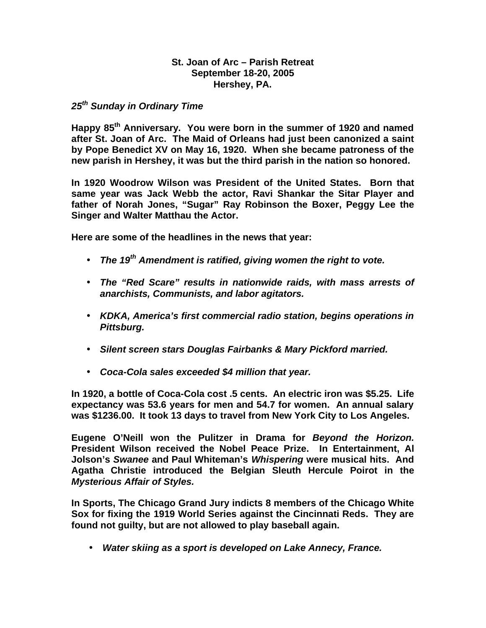## **St. Joan of Arc – Parish Retreat September 18-20, 2005 Hershey, PA.**

## *25th Sunday in Ordinary Time*

**Happy 85th Anniversary. You were born in the summer of 1920 and named after St. Joan of Arc. The Maid of Orleans had just been canonized a saint by Pope Benedict XV on May 16, 1920. When she became patroness of the new parish in Hershey, it was but the third parish in the nation so honored.**

**In 1920 Woodrow Wilson was President of the United States. Born that same year was Jack Webb the actor, Ravi Shankar the Sitar Player and father of Norah Jones, "Sugar" Ray Robinson the Boxer, Peggy Lee the Singer and Walter Matthau the Actor.** 

**Here are some of the headlines in the news that year:**

- *The 19th Amendment is ratified, giving women the right to vote.*
- *The "Red Scare" results in nationwide raids, with mass arrests of anarchists, Communists, and labor agitators.*
- *KDKA, America's first commercial radio station, begins operations in Pittsburg.*
- *Silent screen stars Douglas Fairbanks & Mary Pickford married.*
- *Coca-Cola sales exceeded \$4 million that year.*

**In 1920, a bottle of Coca-Cola cost .5 cents. An electric iron was \$5.25. Life expectancy was 53.6 years for men and 54.7 for women. An annual salary was \$1236.00. It took 13 days to travel from New York City to Los Angeles.**

**Eugene O'Neill won the Pulitzer in Drama for** *Beyond the Horizon.*  **President Wilson received the Nobel Peace Prize. In Entertainment, Al Jolson's** *Swanee* **and Paul Whiteman's** *Whispering* **were musical hits. And Agatha Christie introduced the Belgian Sleuth Hercule Poirot in the** *Mysterious Affair of Styles.* 

**In Sports, The Chicago Grand Jury indicts 8 members of the Chicago White Sox for fixing the 1919 World Series against the Cincinnati Reds. They are found not guilty, but are not allowed to play baseball again.**

• *Water skiing as a sport is developed on Lake Annecy, France.*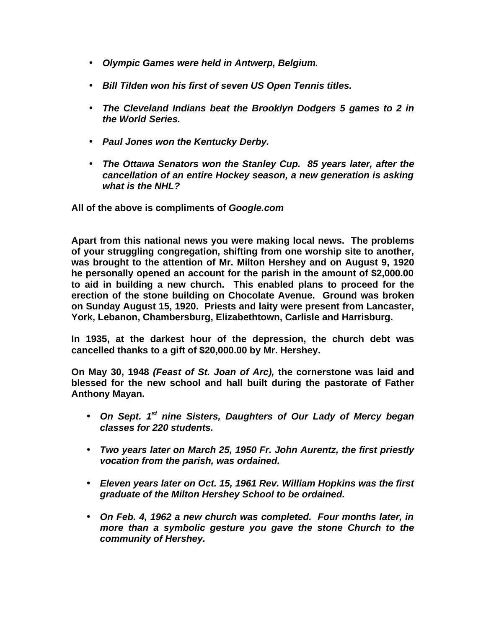- *Olympic Games were held in Antwerp, Belgium.*
- *Bill Tilden won his first of seven US Open Tennis titles.*
- *The Cleveland Indians beat the Brooklyn Dodgers 5 games to 2 in the World Series.*
- *Paul Jones won the Kentucky Derby.*
- *The Ottawa Senators won the Stanley Cup. 85 years later, after the cancellation of an entire Hockey season, a new generation is asking what is the NHL?*

**All of the above is compliments of** *Google.com*

**Apart from this national news you were making local news. The problems of your struggling congregation, shifting from one worship site to another, was brought to the attention of Mr. Milton Hershey and on August 9, 1920 he personally opened an account for the parish in the amount of \$2,000.00 to aid in building a new church. This enabled plans to proceed for the erection of the stone building on Chocolate Avenue. Ground was broken on Sunday August 15, 1920. Priests and laity were present from Lancaster, York, Lebanon, Chambersburg, Elizabethtown, Carlisle and Harrisburg.**

**In 1935, at the darkest hour of the depression, the church debt was cancelled thanks to a gift of \$20,000.00 by Mr. Hershey.** 

**On May 30, 1948** *(Feast of St. Joan of Arc),* **the cornerstone was laid and blessed for the new school and hall built during the pastorate of Father Anthony Mayan.** 

- *On Sept. 1 st nine Sisters, Daughters of Our Lady of Mercy began classes for 220 students.*
- *Two years later on March 25, 1950 Fr. John Aurentz, the first priestly vocation from the parish, was ordained.*
- *Eleven years later on Oct. 15, 1961 Rev. William Hopkins was the first graduate of the Milton Hershey School to be ordained.*
- *On Feb. 4, 1962 a new church was completed. Four months later, in more than a symbolic gesture you gave the stone Church to the community of Hershey.*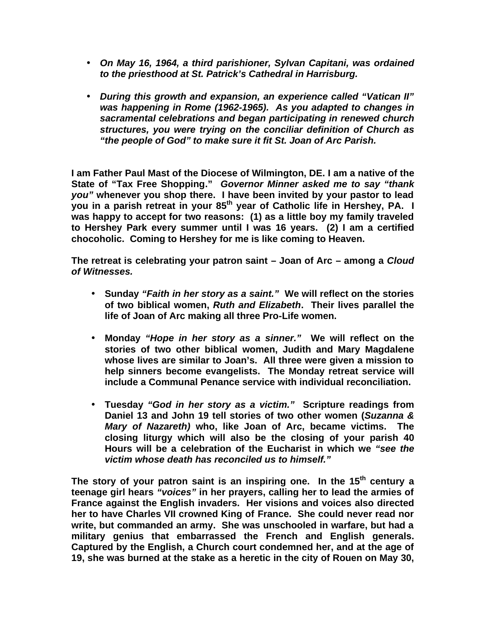- *On May 16, 1964, a third parishioner, Sylvan Capitani, was ordained to the priesthood at St. Patrick's Cathedral in Harrisburg.*
- *During this growth and expansion, an experience called "Vatican II" was happening in Rome (1962-1965). As you adapted to changes in sacramental celebrations and began participating in renewed church structures, you were trying on the conciliar definition of Church as "the people of God" to make sure it fit St. Joan of Arc Parish.*

**I am Father Paul Mast of the Diocese of Wilmington, DE. I am a native of the State of "Tax Free Shopping."** *Governor Minner asked me to say "thank you"* **whenever you shop there. I have been invited by your pastor to lead you in a parish retreat in your 85th year of Catholic life in Hershey, PA. I was happy to accept for two reasons: (1) as a little boy my family traveled to Hershey Park every summer until I was 16 years. (2) I am a certified chocoholic. Coming to Hershey for me is like coming to Heaven.**

**The retreat is celebrating your patron saint – Joan of Arc – among a** *Cloud of Witnesses.*

- **Sunday** *"Faith in her story as a saint."* **We will reflect on the stories of two biblical women,** *Ruth and Elizabeth***. Their lives parallel the life of Joan of Arc making all three Pro-Life women.**
- **Monday** *"Hope in her story as a sinner."* **We will reflect on the stories of two other biblical women, Judith and Mary Magdalene whose lives are similar to Joan's. All three were given a mission to help sinners become evangelists. The Monday retreat service will include a Communal Penance service with individual reconciliation.**
- **Tuesday** *"God in her story as a victim."* **Scripture readings from Daniel 13 and John 19 tell stories of two other women (***Suzanna & Mary of Nazareth)* **who, like Joan of Arc, became victims. The closing liturgy which will also be the closing of your parish 40 Hours will be a celebration of the Eucharist in which we** *"see the victim whose death has reconciled us to himself."*

**The story of your patron saint is an inspiring one. In the 15th century a teenage girl hears** *"voices"* **in her prayers, calling her to lead the armies of France against the English invaders. Her visions and voices also directed her to have Charles VII crowned King of France. She could never read nor write, but commanded an army. She was unschooled in warfare, but had a military genius that embarrassed the French and English generals. Captured by the English, a Church court condemned her, and at the age of 19, she was burned at the stake as a heretic in the city of Rouen on May 30,**